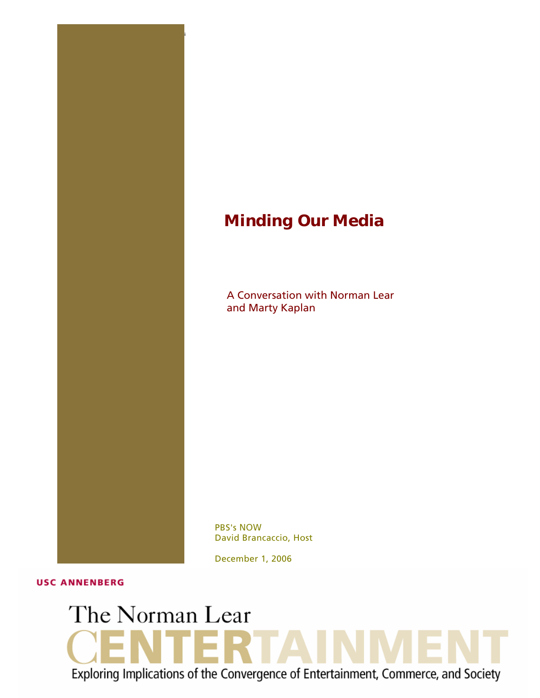## *Minding Our Media*

1 THE NORMAN LEAR CENTER **Minding r Media Norman Lear and Marty Kaplan Ou**

A Conversation with Norman Lear and Marty Kaplan

PBS's *NOW* David Brancaccio, Host

December 1, 2006

**USC ANNENBERG** 

# The Norman Lear 2 T A I Exploring Implications of the Convergence of Entertainment, Commerce, and Society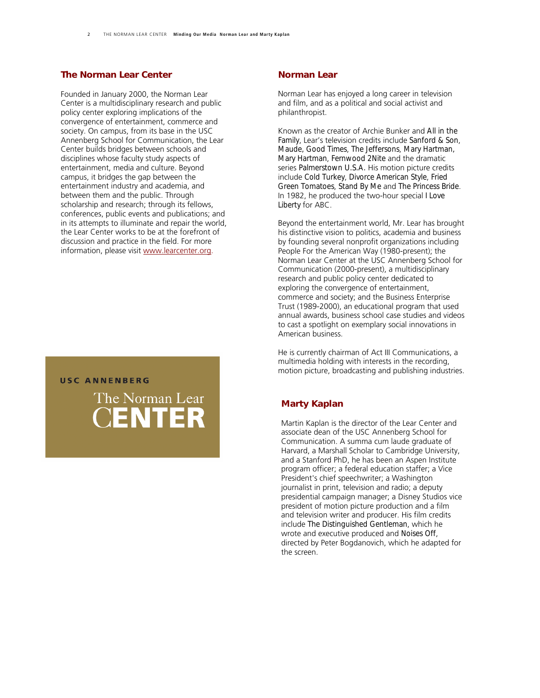## *[The Norman Lear Center](http://www.learcenter.org/)*

Founded in January 2000, the Norman Lear Center is a multidisciplinary research and public policy center exploring implications of the convergence of entertainment, commerce and society. On campus, from its base in the USC Annenberg School for Communication, the Lear Center builds bridges between schools and disciplines whose faculty study aspects of entertainment, media and culture. Beyond campus, it bridges the gap between the entertainment industry and academia, and between them and the public. Through scholarship and research; through its fellows, conferences, public events and publications; and in its attempts to illuminate and repair the world, the Lear Center works to be at the forefront of discussion and practice in the field. For more information, please visit [www.learcenter.org.](http://www.learcenter.org/)

### **USC ANNENBERG**

The Norman Lear **ENTER** 

#### *Norman Lear*

Norman Lear has enjoyed a long career in television and film, and as a political and social activist and philanthropist.

Known as the creator of Archie Bunker and *All in the Family*, Lear's television credits include *Sanford & Son*, *Maude, Good Times*, *The Jeffersons*, *Mary Hartman, Mary Hartman*, *Fernwood 2Nite* and the dramatic series *Palmerstown U.S.A.* His motion picture credits include *Cold Turkey*, *Divorce American Style*, *Fried Green Tomatoes*, *Stand By Me* and *The Princess Bride*. In 1982, he produced the two-hour special *I Love Liberty* for ABC.

Beyond the entertainment world, Mr. Lear has brought his distinctive vision to politics, academia and business by founding several nonprofit organizations including People For the American Way (1980-present); the Norman Lear Center at the USC Annenberg School for Communication (2000-present), a multidisciplinary research and public policy center dedicated to exploring the convergence of entertainment, commerce and society; and the Business Enterprise Trust (1989-2000), an educational program that used annual awards, business school case studies and videos to cast a spotlight on exemplary social innovations in American business.

He is currently chairman of Act III Communications, a multimedia holding with interests in the recording, motion picture, broadcasting and publishing industries.

## *Marty Kaplan*

Martin Kaplan is the director of the Lear Center and associate dean of the USC Annenberg School for Communication. A summa cum laude graduate of Harvard, a Marshall Scholar to Cambridge University, and a Stanford PhD, he has been an Aspen Institute program officer; a federal education staffer; a Vice President's chief speechwriter; a Washington journalist in print, television and radio; a deputy presidential campaign manager; a Disney Studios vice president of motion picture production and a film and television writer and producer. His film credits include *The Distinguished Gentleman*, which he wrote and executive produced and *Noises Off*, directed by Peter Bogdanovich, which he adapted for the screen.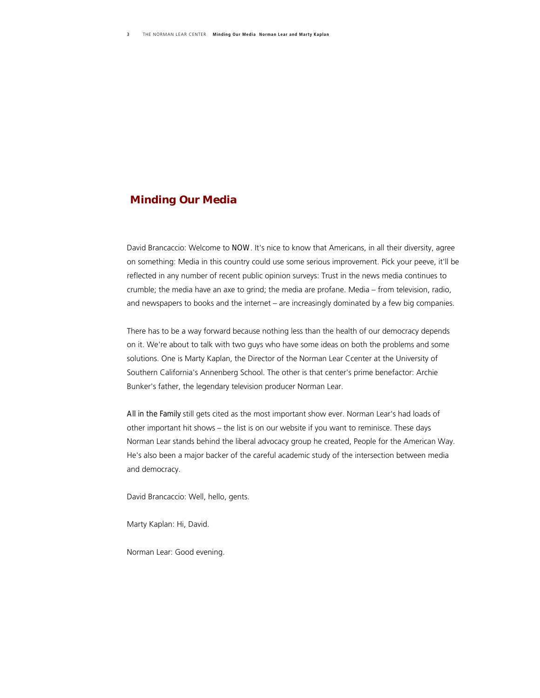## *Minding Our Media*

David Brancaccio: Welcome to *NOW*. It's nice to know that Americans, in all their diversity, agree on something: Media in this country could use some serious improvement. Pick your peeve, it'll be reflected in any number of recent public opinion surveys: Trust in the news media continues to crumble; the media have an axe to grind; the media are profane. Media – from television, radio, and newspapers to books and the internet – are increasingly dominated by a few big companies.

There has to be a way forward because nothing less than the health of our democracy depends on it. We're about to talk with two guys who have some ideas on both the problems and some solutions. One is Marty Kaplan, the Director of the Norman Lear Ccenter at the University of Southern California's Annenberg School. The other is that center's prime benefactor: Archie Bunker's father, the legendary television producer Norman Lear.

**All in the Family** still gets cited as the most important show ever. Norman Lear's had loads of other important hit shows – the list is on our website if you want to reminisce. These days Norman Lear stands behind the liberal advocacy group he created, People for the American Way. He's also been a major backer of the careful academic study of the intersection between media and democracy.

David Brancaccio: Well, hello, gents.

Marty Kaplan: Hi, David.

Norman Lear: Good evening.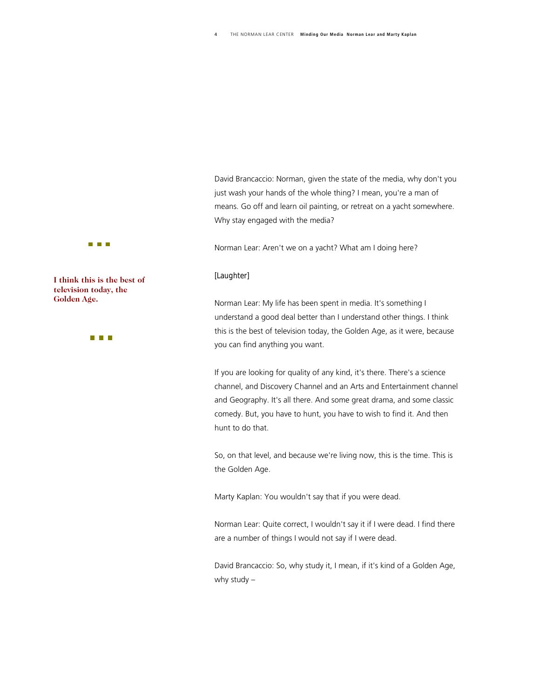David Brancaccio: Norman, given the state of the media, why don't you just wash your hands of the whole thing? I mean, you're a man of means. Go off and learn oil painting, or retreat on a yacht somewhere. Why stay engaged with the media?

Norman Lear: Aren't we on a yacht? What am I doing here?

## *[Laughter]*

Norman Lear: My life has been spent in media. It's something I understand a good deal better than I understand other things. I think this is the best of television today, the Golden Age, as it were, because you can find anything you want.

If you are looking for quality of any kind, it's there. There's a science channel, and Discovery Channel and an Arts and Entertainment channel and Geography. It's all there. And some great drama, and some classic comedy. But, you have to hunt, you have to wish to find it. And then hunt to do that.

So, on that level, and because we're living now, this is the time. This is the Golden Age.

Marty Kaplan: You wouldn't say that if you were dead.

Norman Lear: Quite correct, I wouldn't say it if I were dead. I find there are a number of things I would not say if I were dead.

David Brancaccio: So, why study it, I mean, if it's kind of a Golden Age, why study –



**I think this is the best of television today, the Golden Age.** 

**The Co**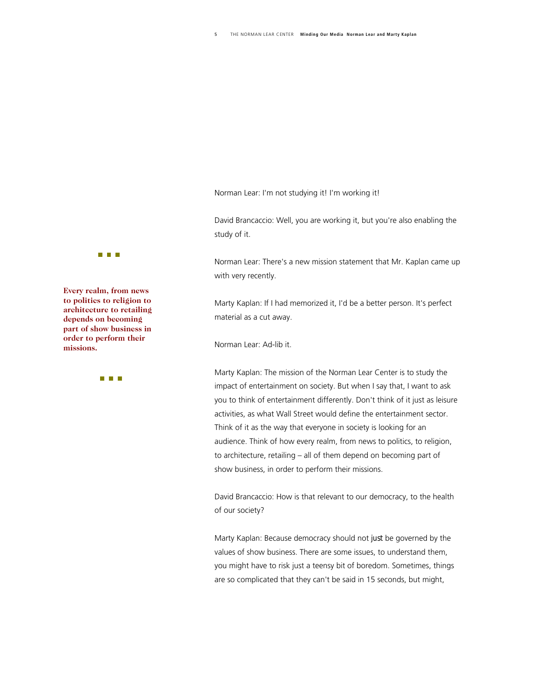Norman Lear: I'm not studying it! I'm working it!

David Brancaccio: Well, you are working it, but you're also enabling the study of it.

Norman Lear: There's a new mission statement that Mr. Kaplan came up with very recently.

Marty Kaplan: If I had memorized it, I'd be a better person. It's perfect material as a cut away.

Norman Lear: Ad-lib it.

Marty Kaplan: The mission of the Norman Lear Center is to study the impact of entertainment on society. But when I say that, I want to ask you to think of entertainment differently. Don't think of it just as leisure activities, as what Wall Street would define the entertainment sector. Think of it as the way that everyone in society is looking for an audience. Think of how every realm, from news to politics, to religion, to architecture, retailing – all of them depend on becoming part of show business, in order to perform their missions.

David Brancaccio: How is that relevant to our democracy, to the health of our society?

Marty Kaplan: Because democracy should not *just* be governed by the values of show business. There are some issues, to understand them, you might have to risk just a teensy bit of boredom. Sometimes, things are so complicated that they can't be said in 15 seconds, but might,

#### **TELEVISION**

**Every realm, from news to politics to religion to architecture to retailing depends on becoming part of show business in order to perform their missions.** 

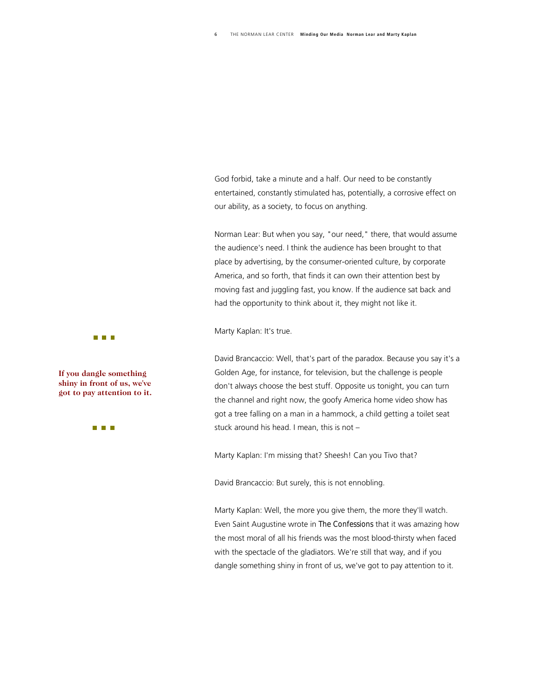God forbid, take a minute and a half. Our need to be constantly entertained, constantly stimulated has, potentially, a corrosive effect on our ability, as a society, to focus on anything.

Norman Lear: But when you say, "our need," there, that would assume the audience's need. I think the audience has been brought to that place by advertising, by the consumer-oriented culture, by corporate America, and so forth, that finds it can own their attention best by moving fast and juggling fast, you know. If the audience sat back and had the opportunity to think about it, they might not like it.

Marty Kaplan: It's true.

David Brancaccio: Well, that's part of the paradox. Because you say it's a Golden Age, for instance, for television, but the challenge is people don't always choose the best stuff. Opposite us tonight, you can turn the channel and right now, the goofy America home video show has got a tree falling on a man in a hammock, a child getting a toilet seat stuck around his head. I mean, this is not –

Marty Kaplan: I'm missing that? Sheesh! Can you Tivo that?

David Brancaccio: But surely, this is not ennobling.

Marty Kaplan: Well, the more you give them, the more they'll watch. Even Saint Augustine wrote in *The Confessions* that it was amazing how the most moral of all his friends was the most blood-thirsty when faced with the spectacle of the gladiators. We're still that way, and if you dangle something shiny in front of us, we've got to pay attention to it.

**TELEVISION** 

**If you dangle something** shiny in front of us, we've **got to pay attention to it .** 

**THE REAL**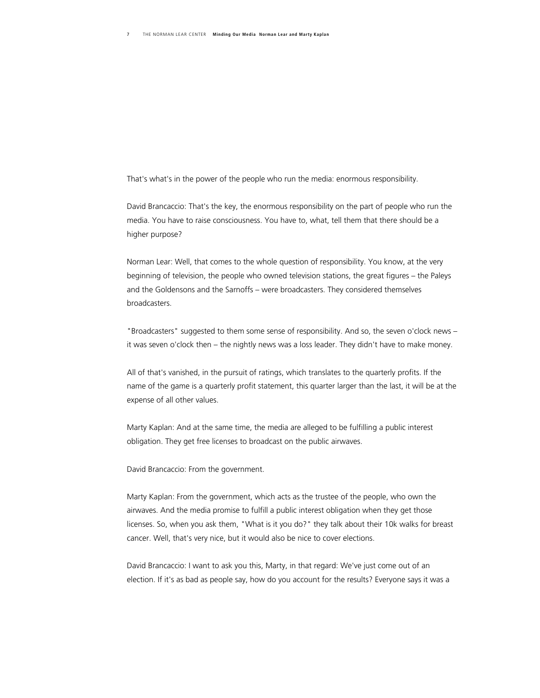That's what's in the power of the people who run the media: enormous responsibility.

David Brancaccio: That's the key, the enormous responsibility on the part of people who run the media. You have to raise consciousness. You have to, what, tell them that there should be a higher purpose?

Norman Lear: Well, that comes to the whole question of responsibility. You know, at the very beginning of television, the people who owned television stations, the great figures – the Paleys and the Goldensons and the Sarnoffs – were broadcasters. They considered themselves broadcasters.

"Broadcasters" suggested to them some sense of responsibility. And so, the seven o'clock news – it was seven o'clock then – the nightly news was a loss leader. They didn't have to make money.

All of that's vanished, in the pursuit of ratings, which translates to the quarterly profits. If the name of the game is a quarterly profit statement, this quarter larger than the last, it will be at the expense of all other values.

Marty Kaplan: And at the same time, the media are alleged to be fulfilling a public interest obligation. They get free licenses to broadcast on the public airwaves.

David Brancaccio: From the government.

Marty Kaplan: From the government, which acts as the trustee of the people, who own the airwaves. And the media promise to fulfill a public interest obligation when they get those licenses. So, when you ask them, "What is it you do?" they talk about their 10k walks for breast cancer. Well, that's very nice, but it would also be nice to cover elections.

David Brancaccio: I want to ask you this, Marty, in that regard: We've just come out of an election. If it's as bad as people say, how do you account for the results? Everyone says it was a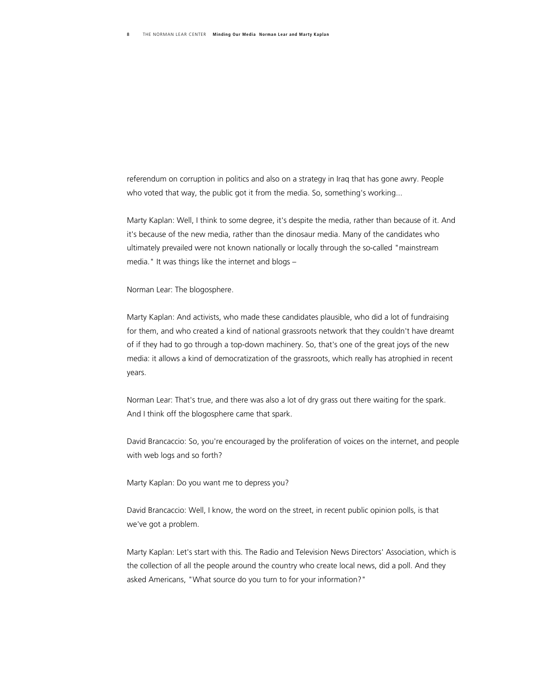referendum on corruption in politics and also on a strategy in Iraq that has gone awry. People who voted that way, the public got it from the media. So, something's working...

Marty Kaplan: Well, I think to some degree, it's despite the media, rather than because of it. And it's because of the new media, rather than the dinosaur media. Many of the candidates who ultimately prevailed were not known nationally or locally through the so-called "mainstream media." It was things like the internet and blogs –

Norman Lear: The blogosphere.

Marty Kaplan: And activists, who made these candidates plausible, who did a lot of fundraising for them, and who created a kind of national grassroots network that they couldn't have dreamt of if they had to go through a top-down machinery. So, that's one of the great joys of the new media: it allows a kind of democratization of the grassroots, which really has atrophied in recent years.

Norman Lear: That's true, and there was also a lot of dry grass out there waiting for the spark. And I think off the blogosphere came that spark.

David Brancaccio: So, you're encouraged by the proliferation of voices on the internet, and people with web logs and so forth?

Marty Kaplan: Do you want me to depress you?

David Brancaccio: Well, I know, the word on the street, in recent public opinion polls, is that we've got a problem.

Marty Kaplan: Let's start with this. The Radio and Television News Directors' Association, which is the collection of all the people around the country who create local news, did a poll. And they asked Americans, "What source do you turn to for your information?"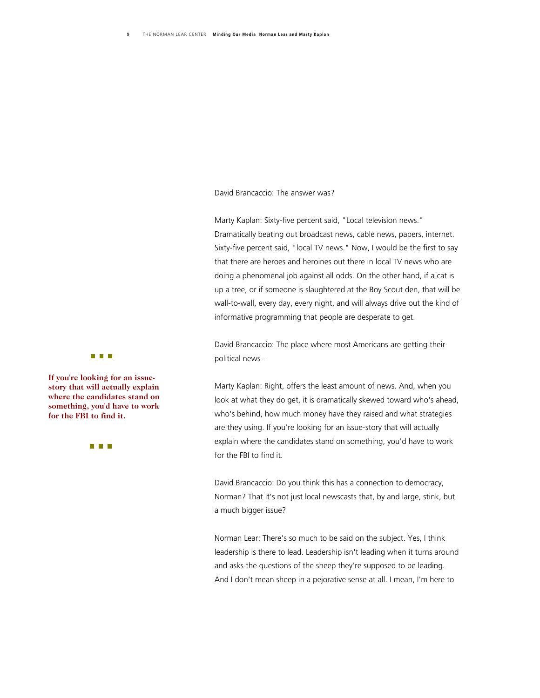David Brancaccio: The answer was?

Marty Kaplan: Sixty-five percent said, "Local television news." Dramatically beating out broadcast news, cable news, papers, internet. Sixty-five percent said, "local TV news." Now, I would be the first to say that there are heroes and heroines out there in local TV news who are doing a phenomenal job against all odds. On the other hand, if a cat is up a tree, or if someone is slaughtered at the Boy Scout den, that will be wall-to-wall, every day, every night, and will always drive out the kind of informative programming that people are desperate to get.

David Brancaccio: The place where most Americans are getting their political news –

Marty Kaplan: Right, offers the least amount of news. And, when you look at what they do get, it is dramatically skewed toward who's ahead, who's behind, how much money have they raised and what strategies are they using. If you're looking for an issue-story that will actually explain where the candidates stand on something, you'd have to work for the FBI to find it.

David Brancaccio: Do you think this has a connection to democracy, Norman? That it's not just local newscasts that, by and large, stink, but a much bigger issue?

Norman Lear: There's so much to be said on the subject. Yes, I think leadership is there to lead. Leadership isn't leading when it turns around and asks the questions of the sheep they're supposed to be leading. And I don't mean sheep in a pejorative sense at all. I mean, I'm here to

#### **THE R**

If you're looking for an issue**story that will actually exp lain where the candidates stand on**  something, you'd have to work **for the FBI to find it.** 

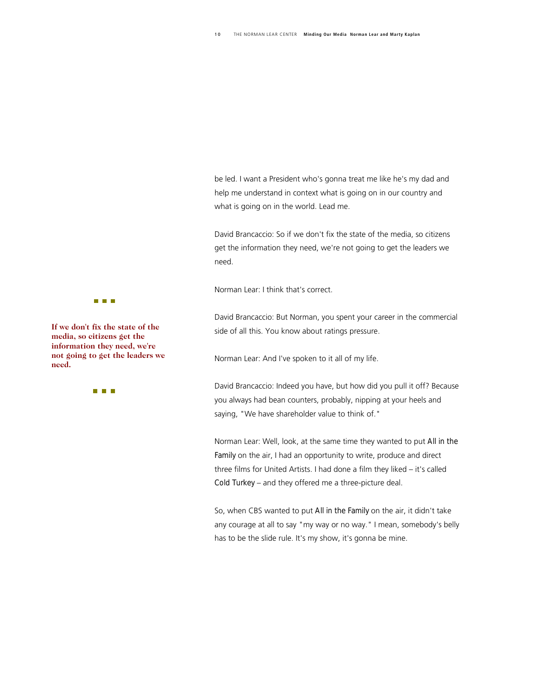be led. I want a President who's gonna treat me like he's my dad and help me understand in context what is going on in our country and what is going on in the world. Lead me.

David Brancaccio: So if we don't fix the state of the media, so citizens get the information they need, we're not going to get the leaders we need.

Norman Lear: I think that's correct.

David Brancaccio: But Norman, you spent your career in the commercial side of all this. You know about ratings pressure.

Norman Lear: And I've spoken to it all of my life.

David Brancaccio: Indeed you have, but how did you pull it off? Because you always had bean counters, probably, nipping at your heels and saying, "We have shareholder value to think of."

Norman Lear: Well, look, at the same time they wanted to put *All in the*  **Family** on the air, I had an opportunity to write, produce and direct three films for United Artists. I had done a film they liked – it's called *Cold Turkey* – and they offered me a three-picture deal.

So, when CBS wanted to put *All in the Family* on the air, it didn't take any courage at all to say "my way or no way." I mean, somebody's belly has to be the slide rule. It's my show, it's gonna be mine.

#### n n F

**If we don't fix the state of the media, so citizens get the information they need, we' re not going to get the leader s we need.** 

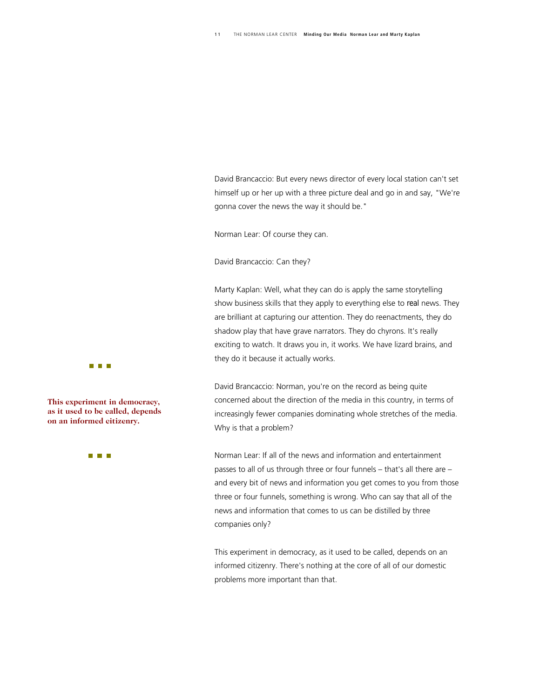David Brancaccio: But every news director of every local station can't set himself up or her up with a three picture deal and go in and say, "We're gonna cover the news the way it should be."

Norman Lear: Of course they can.

David Brancaccio: Can they?

Marty Kaplan: Well, what they can do is apply the same storytelling show business skills that they apply to everything else to *real* news. They are brilliant at capturing our attention. They do reenactments, they do shadow play that have grave narrators. They do chyrons. It's really exciting to watch. It draws you in, it works. We have lizard brains, and they do it because it actually works.

David Brancaccio: Norman, you're on the record as being quite concerned about the direction of the media in this country, in terms of increasingly fewer companies dominating whole stretches of the media. Why is that a problem?

Norman Lear: If all of the news and information and entertainment passes to all of us through three or four funnels – that's all there are – and every bit of news and information you get comes to you from those three or four funnels, something is wrong. Who can say that all of the news and information that comes to us can be distilled by three companies only?

This experiment in democracy, as it used to be called, depends on an informed citizenry. There's nothing at the core of all of our domestic problems more important than that.



This experiment in democracy, **as it used to be called, dep ends on an informed citizenry.** 

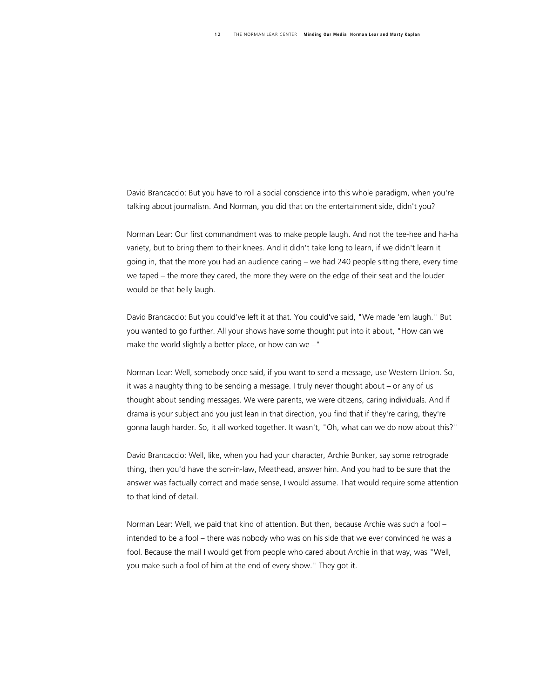David Brancaccio: But you have to roll a social conscience into this whole paradigm, when you're talking about journalism. And Norman, you did that on the entertainment side, didn't you?

Norman Lear: Our first commandment was to make people laugh. And not the tee-hee and ha-ha variety, but to bring them to their knees. And it didn't take long to learn, if we didn't learn it going in, that the more you had an audience caring – we had 240 people sitting there, every time we taped – the more they cared, the more they were on the edge of their seat and the louder would be that belly laugh.

David Brancaccio: But you could've left it at that. You could've said, "We made 'em laugh." But you wanted to go further. All your shows have some thought put into it about, "How can we make the world slightly a better place, or how can we –"

Norman Lear: Well, somebody once said, if you want to send a message, use Western Union. So, it was a naughty thing to be sending a message. I truly never thought about – or any of us thought about sending messages. We were parents, we were citizens, caring individuals. And if drama is your subject and you just lean in that direction, you find that if they're caring, they're gonna laugh harder. So, it all worked together. It wasn't, "Oh, what can we do now about this?"

David Brancaccio: Well, like, when you had your character, Archie Bunker, say some retrograde thing, then you'd have the son-in-law, Meathead, answer him. And you had to be sure that the answer was factually correct and made sense, I would assume. That would require some attention to that kind of detail.

Norman Lear: Well, we paid that kind of attention. But then, because Archie was such a fool – intended to be a fool – there was nobody who was on his side that we ever convinced he was a fool. Because the mail I would get from people who cared about Archie in that way, was "Well, you make such a fool of him at the end of every show." They got it.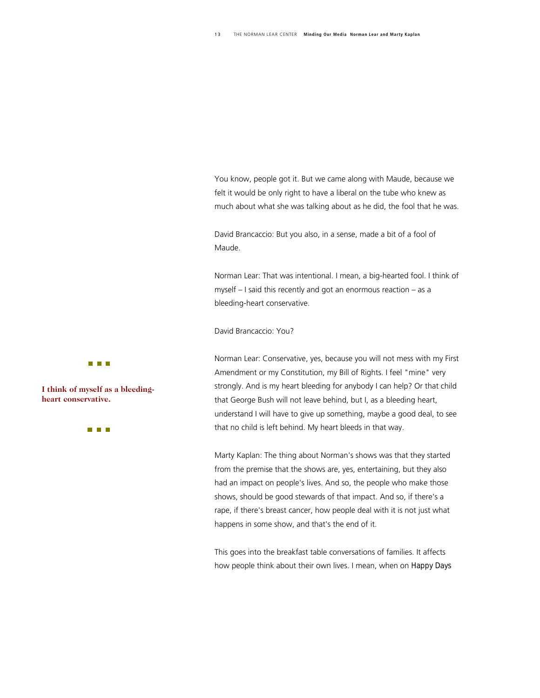You know, people got it. But we came along with Maude, because we felt it would be only right to have a liberal on the tube who knew as much about what she was talking about as he did, the fool that he was.

David Brancaccio: But you also, in a sense, made a bit of a fool of Maude.

Norman Lear: That was intentional. I mean, a big-hearted fool. I think of myself – I said this recently and got an enormous reaction – as a bleeding-heart conservative.

David Brancaccio: You?

Norman Lear: Conservative, yes, because you will not mess with my First Amendment or my Constitution, my Bill of Rights. I feel "mine" very strongly. And is my heart bleeding for anybody I can help? Or that child that George Bush will not leave behind, but I, as a bleeding heart, understand I will have to give up something, maybe a good deal, to see that no child is left behind. My heart bleeds in that way.

Marty Kaplan: The thing about Norman's shows was that they started from the premise that the shows are, yes, entertaining, but they also had an impact on people's lives. And so, the people who make those shows, should be good stewards of that impact. And so, if there's a rape, if there's breast cancer, how people deal with it is not just what happens in some show, and that's the end of it.

This goes into the breakfast table conversations of families. It affects how people think about their own lives. I mean, when on *Happy Days*



**I think of myself as a bleed ingheart conservative.** 

**THE REAL**